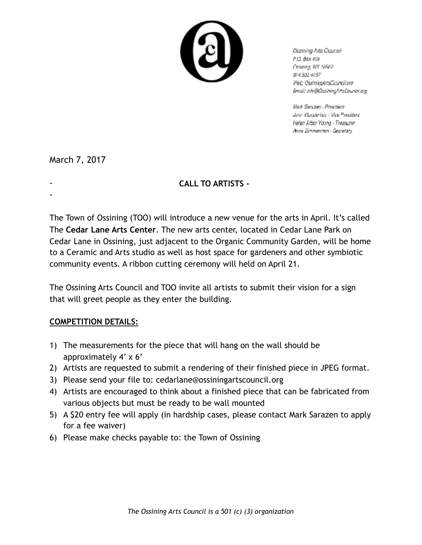Cephing Arts Council F.O. Box 408 Ossning, NY 10562 914,502,4157 Web: OssiningArtsCouncilora Email: infe@OzainingArtaCouncil.org

Mark Sarazan - Prasident Jola: Wanderfich - Vive President Helen Arbor Young - Treasurer Anne Zimmermen - Secretary

March 7, 2017

## - **CALL TO ARTISTS -**

-

The Town of Ossining (TOO) will introduce a new venue for the arts in April. It's called The **Cedar Lane Arts Center**. The new arts center, located in Cedar Lane Park on Cedar Lane in Ossining, just adjacent to the Organic Community Garden, will be home to a Ceramic and Arts studio as well as host space for gardeners and other symbiotic community events. A ribbon cutting ceremony will held on April 21.

The Ossining Arts Council and TOO invite all artists to submit their vision for a sign that will greet people as they enter the building.

# **COMPETITION DETAILS:**

- 1) The measurements for the piece that will hang on the wall should be approximately 4' x 6'
- 2) Artists are requested to submit a rendering of their finished piece in JPEG format.
- 3) Please send your file to: cedarlane@ossiningartscouncil.org
- 4) Artists are encouraged to think about a finished piece that can be fabricated from various objects but must be ready to be wall mounted
- 5) A \$20 entry fee will apply (in hardship cases, please contact Mark Sarazen to apply for a fee waiver)
- 6) Please make checks payable to: the Town of Ossining